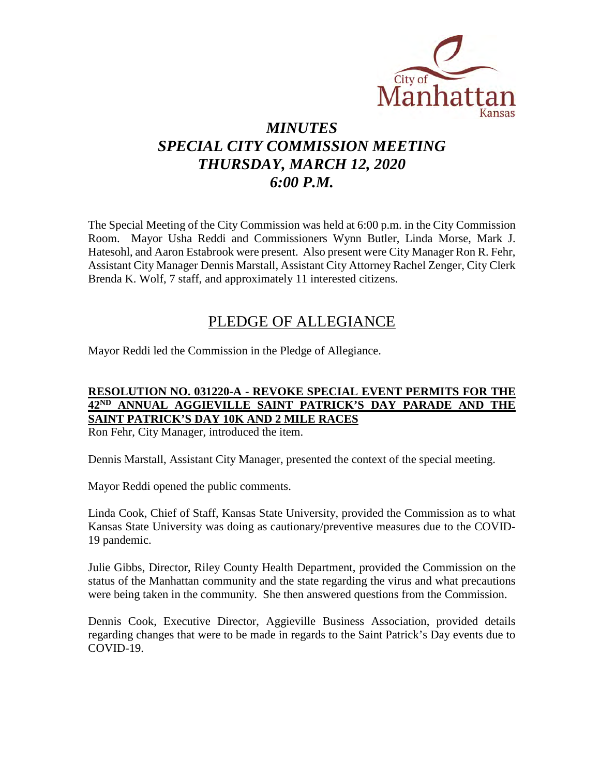

# *MINUTES SPECIAL CITY COMMISSION MEETING THURSDAY, MARCH 12, 2020 6:00 P.M.*

The Special Meeting of the City Commission was held at 6:00 p.m. in the City Commission Room. Mayor Usha Reddi and Commissioners Wynn Butler, Linda Morse, Mark J. Hatesohl, and Aaron Estabrook were present. Also present were City Manager Ron R. Fehr, Assistant City Manager Dennis Marstall, Assistant City Attorney Rachel Zenger, City Clerk Brenda K. Wolf, 7 staff, and approximately 11 interested citizens.

## PLEDGE OF ALLEGIANCE

Mayor Reddi led the Commission in the Pledge of Allegiance.

### **RESOLUTION NO. 031220-A - REVOKE SPECIAL EVENT PERMITS FOR THE 42ND ANNUAL AGGIEVILLE SAINT PATRICK'S DAY PARADE AND THE SAINT PATRICK'S DAY 10K AND 2 MILE RACES**

Ron Fehr, City Manager, introduced the item.

Dennis Marstall, Assistant City Manager, presented the context of the special meeting.

Mayor Reddi opened the public comments.

Linda Cook, Chief of Staff, Kansas State University, provided the Commission as to what Kansas State University was doing as cautionary/preventive measures due to the COVID-19 pandemic.

Julie Gibbs, Director, Riley County Health Department, provided the Commission on the status of the Manhattan community and the state regarding the virus and what precautions were being taken in the community. She then answered questions from the Commission.

Dennis Cook, Executive Director, Aggieville Business Association, provided details regarding changes that were to be made in regards to the Saint Patrick's Day events due to COVID-19.